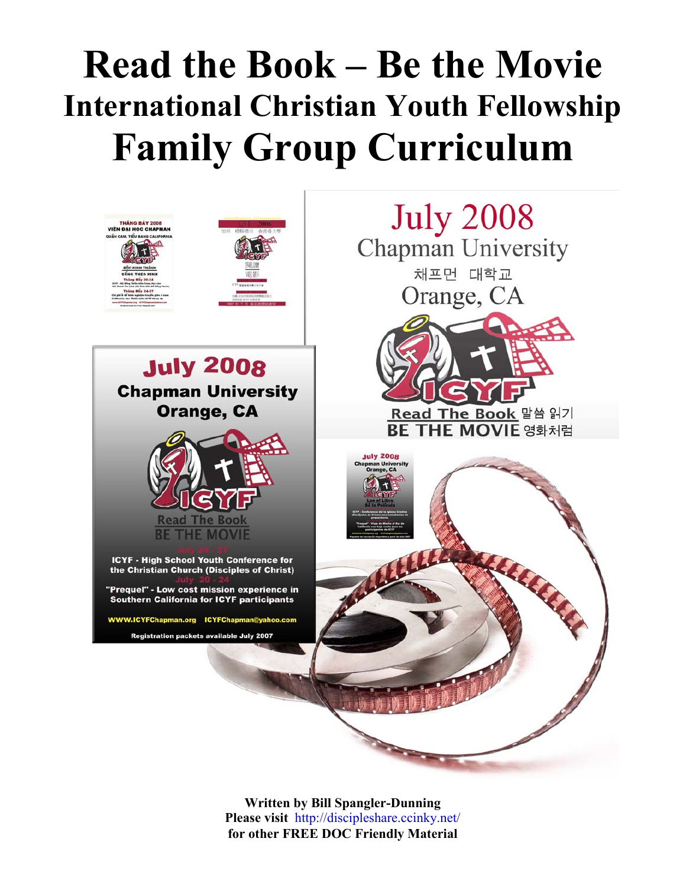# **Read the Book – Be the Movie International Christian Youth Fellowship Family Group Curriculum**



**Written by Bill Spangler-Dunning Please visit** <http://discipleshare.ccinky.net/> **for other FREE DOC Friendly Material**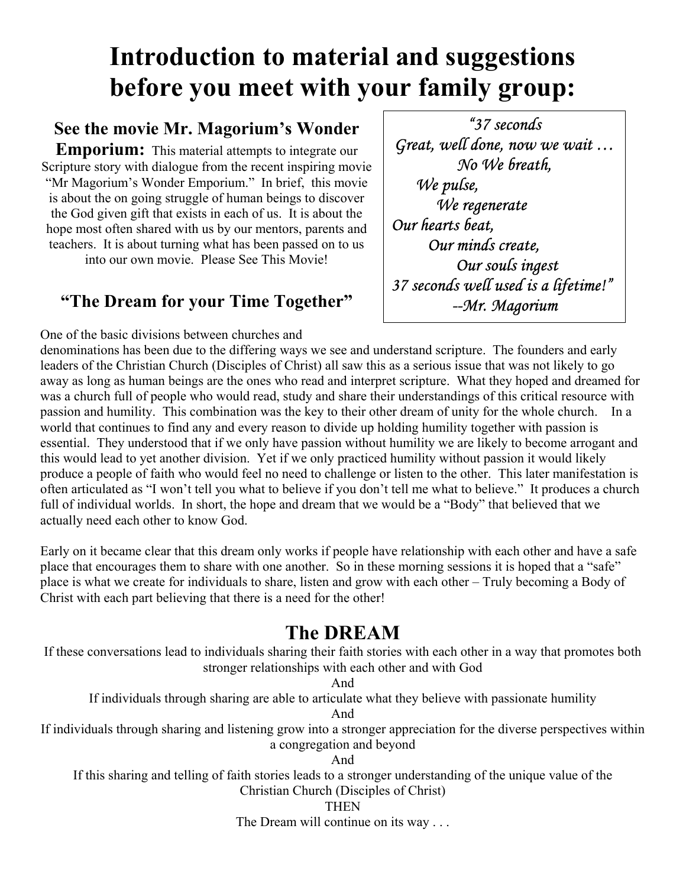## **Introduction to material and suggestions before you meet with your family group:**

## **See the movie Mr. Magorium's Wonder**

**Emporium:** This material attempts to integrate our Scripture story with dialogue from the recent inspiring movie "Mr Magorium's Wonder Emporium." In brief, this movie is about the on going struggle of human beings to discover the God given gift that exists in each of us. It is about the hope most often shared with us by our mentors, parents and teachers. It is about turning what has been passed on to us into our own movie. Please See This Movie!

## **"The Dream for your Time Together"**

*"37 seconds Great, well done, now we wait … No We breath, We pulse, We regenerate Our hearts beat, Our minds create, Our souls ingest 37 seconds well used is a lifetime!" --Mr. Magorium*

One of the basic divisions between churches and denominations has been due to the differing ways we see and understand scripture. The founders and early leaders of the Christian Church (Disciples of Christ) all saw this as a serious issue that was not likely to go away as long as human beings are the ones who read and interpret scripture. What they hoped and dreamed for was a church full of people who would read, study and share their understandings of this critical resource with passion and humility. This combination was the key to their other dream of unity for the whole church. In a world that continues to find any and every reason to divide up holding humility together with passion is essential. They understood that if we only have passion without humility we are likely to become arrogant and this would lead to yet another division. Yet if we only practiced humility without passion it would likely produce a people of faith who would feel no need to challenge or listen to the other. This later manifestation is often articulated as "I won't tell you what to believe if you don't tell me what to believe." It produces a church full of individual worlds. In short, the hope and dream that we would be a "Body" that believed that we actually need each other to know God.

Early on it became clear that this dream only works if people have relationship with each other and have a safe place that encourages them to share with one another. So in these morning sessions it is hoped that a "safe" place is what we create for individuals to share, listen and grow with each other – Truly becoming a Body of Christ with each part believing that there is a need for the other!

## **The DREAM**

If these conversations lead to individuals sharing their faith stories with each other in a way that promotes both stronger relationships with each other and with God

And

If individuals through sharing are able to articulate what they believe with passionate humility

And

If individuals through sharing and listening grow into a stronger appreciation for the diverse perspectives within a congregation and beyond

And

If this sharing and telling of faith stories leads to a stronger understanding of the unique value of the Christian Church (Disciples of Christ)

#### **THEN**

The Dream will continue on its way . . .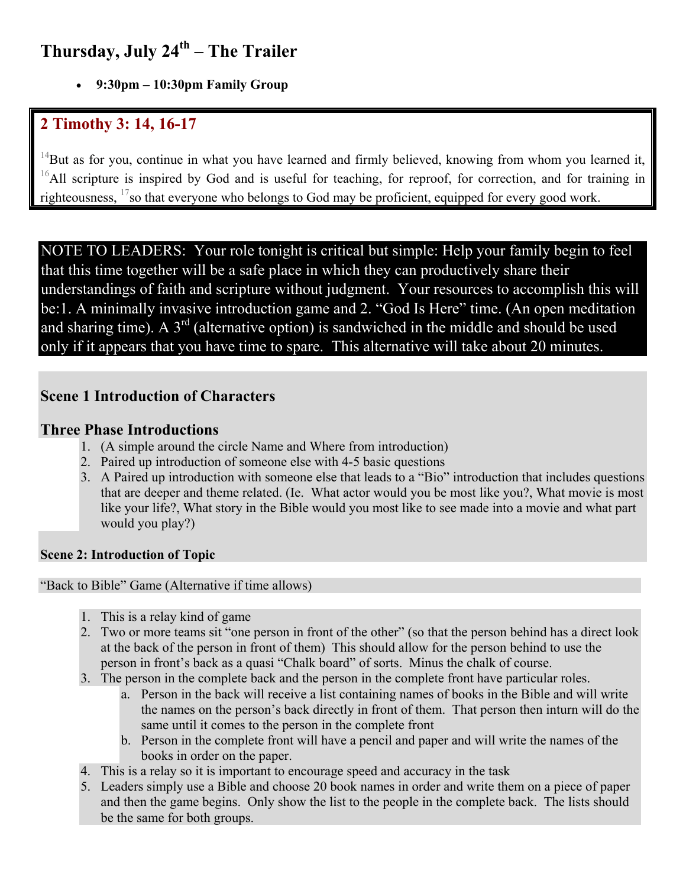## Thursday, July 24<sup>th</sup> – The Trailer

• **9:30pm – 10:30pm Family Group** 

## **2 Timothy 3: 14, 16-17**

 $14$ But as for you, continue in what you have learned and firmly believed, knowing from whom you learned it, <sup>16</sup>All scripture is inspired by God and is useful for teaching, for reproof, for correction, and for training in righteousness, <sup>17</sup>so that everyone who belongs to God may be proficient, equipped for every good work.

NOTE TO LEADERS: Your role tonight is critical but simple: Help your family begin to feel that this time together will be a safe place in which they can productively share their understandings of faith and scripture without judgment. Your resources to accomplish this will be:1. A minimally invasive introduction game and 2. "God Is Here" time. (An open meditation and sharing time). A  $3<sup>rd</sup>$  (alternative option) is sandwiched in the middle and should be used only if it appears that you have time to spare. This alternative will take about 20 minutes.

#### **Scene 1 Introduction of Characters**

#### **Three Phase Introductions**

- 1. (A simple around the circle Name and Where from introduction)
- 2. Paired up introduction of someone else with 4-5 basic questions
- 3. A Paired up introduction with someone else that leads to a "Bio" introduction that includes questions that are deeper and theme related. (Ie. What actor would you be most like you?, What movie is most like your life?, What story in the Bible would you most like to see made into a movie and what part would you play?)

#### **Scene 2: Introduction of Topic**

"Back to Bible" Game (Alternative if time allows)

- 1. This is a relay kind of game
- 2. Two or more teams sit "one person in front of the other" (so that the person behind has a direct look at the back of the person in front of them) This should allow for the person behind to use the person in front's back as a quasi "Chalk board" of sorts. Minus the chalk of course.
- 3. The person in the complete back and the person in the complete front have particular roles.
	- a. Person in the back will receive a list containing names of books in the Bible and will write the names on the person's back directly in front of them. That person then inturn will do the same until it comes to the person in the complete front
	- b. Person in the complete front will have a pencil and paper and will write the names of the books in order on the paper.
- 4. This is a relay so it is important to encourage speed and accuracy in the task
- 5. Leaders simply use a Bible and choose 20 book names in order and write them on a piece of paper and then the game begins. Only show the list to the people in the complete back. The lists should be the same for both groups.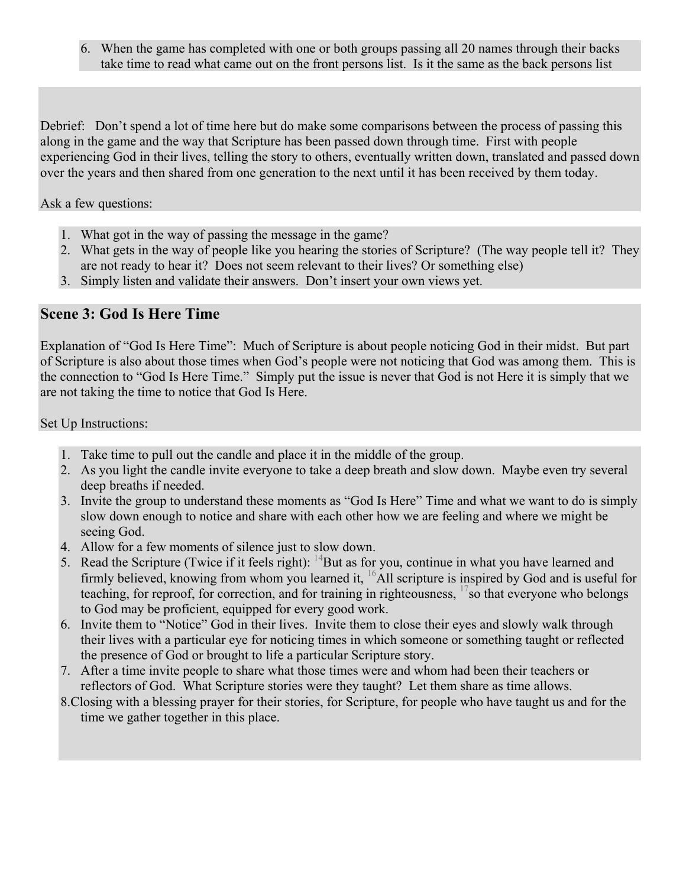6. When the game has completed with one or both groups passing all 20 names through their backs take time to read what came out on the front persons list. Is it the same as the back persons list

Debrief: Don't spend a lot of time here but do make some comparisons between the process of passing this along in the game and the way that Scripture has been passed down through time. First with people experiencing God in their lives, telling the story to others, eventually written down, translated and passed down over the years and then shared from one generation to the next until it has been received by them today.

#### Ask a few questions:

- 1. What got in the way of passing the message in the game?
- 2. What gets in the way of people like you hearing the stories of Scripture? (The way people tell it? They are not ready to hear it? Does not seem relevant to their lives? Or something else)
- 3. Simply listen and validate their answers. Don't insert your own views yet.

#### **Scene 3: God Is Here Time**

Explanation of "God Is Here Time": Much of Scripture is about people noticing God in their midst. But part of Scripture is also about those times when God's people were not noticing that God was among them. This is the connection to "God Is Here Time." Simply put the issue is never that God is not Here it is simply that we are not taking the time to notice that God Is Here.

Set Up Instructions:

- 1. Take time to pull out the candle and place it in the middle of the group.
- 2. As you light the candle invite everyone to take a deep breath and slow down. Maybe even try several deep breaths if needed.
- 3. Invite the group to understand these moments as "God Is Here" Time and what we want to do is simply slow down enough to notice and share with each other how we are feeling and where we might be seeing God.
- 4. Allow for a few moments of silence just to slow down.
- 5. Read the Scripture (Twice if it feels right):  $14$ But as for you, continue in what you have learned and firmly believed, knowing from whom you learned it,  $^{16}$ All scripture is inspired by God and is useful for teaching, for reproof, for correction, and for training in righteousness,  $17$  so that everyone who belongs to God may be proficient, equipped for every good work.
- 6. Invite them to "Notice" God in their lives. Invite them to close their eyes and slowly walk through their lives with a particular eye for noticing times in which someone or something taught or reflected the presence of God or brought to life a particular Scripture story.
- 7. After a time invite people to share what those times were and whom had been their teachers or reflectors of God. What Scripture stories were they taught? Let them share as time allows.
- 8.Closing with a blessing prayer for their stories, for Scripture, for people who have taught us and for the time we gather together in this place.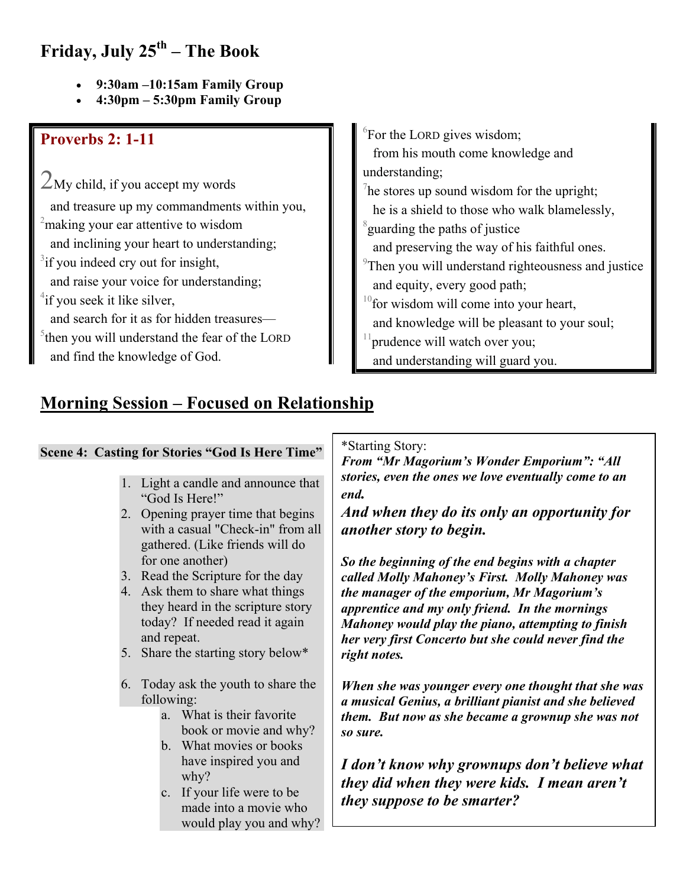## **Friday, July 25th – The Book**

- **9:30am –10:15am Family Group**
- **4:30pm 5:30pm Family Group**

#### **Proverbs 2: 1-11**

 $2$ My child, if you accept my words and treasure up my commandments within you, <sup>2</sup> making your ear attentive to wisdom and inclining your heart to understanding;  $3$ if you indeed cry out for insight, and raise your voice for understanding; <sup>4</sup>if you seek it like silver, and search for it as for hidden treasures—

 $5$ then you will understand the fear of the LORD and find the knowledge of God.

 ${}^{6}$ For the LORD gives wisdom;

 from his mouth come knowledge and understanding;

 $\frac{7}{1}$ he stores up sound wisdom for the upright;

he is a shield to those who walk blamelessly,

 $\delta$ guarding the paths of justice

and preserving the way of his faithful ones.

- <sup>9</sup>Then you will understand righteousness and justice and equity, every good path;
- $10$  for wisdom will come into your heart,
- and knowledge will be pleasant to your soul;
- prudence will watch over you;
- and understanding will guard you.

## **Morning Session – Focused on Relationship**

#### **Scene 4: Casting for Stories "God Is Here Time"**

- 1. Light a candle and announce that "God Is Here!"
- 2. Opening prayer time that begins with a casual "Check-in" from all gathered. (Like friends will do for one another)
- 3. Read the Scripture for the day
- 4. Ask them to share what things they heard in the scripture story today? If needed read it again and repeat.
- 5. Share the starting story below\*
- 6. Today ask the youth to share the following:
	- a. What is their favorite book or movie and why?
	- b. What movies or books have inspired you and why?
	- c. If your life were to be made into a movie who would play you and why?

\*Starting Story:

*From "Mr Magorium's Wonder Emporium": "All stories, even the ones we love eventually come to an end.* 

*And when they do its only an opportunity for another story to begin.* 

*So the beginning of the end begins with a chapter called Molly Mahoney's First. Molly Mahoney was the manager of the emporium, Mr Magorium's apprentice and my only friend. In the mornings Mahoney would play the piano, attempting to finish her very first Concerto but she could never find the right notes.* 

*When she was younger every one thought that she was a musical Genius, a brilliant pianist and she believed them. But now as she became a grownup she was not so sure.* 

*I don't know why grownups don't believe what they did when they were kids. I mean aren't they suppose to be smarter?*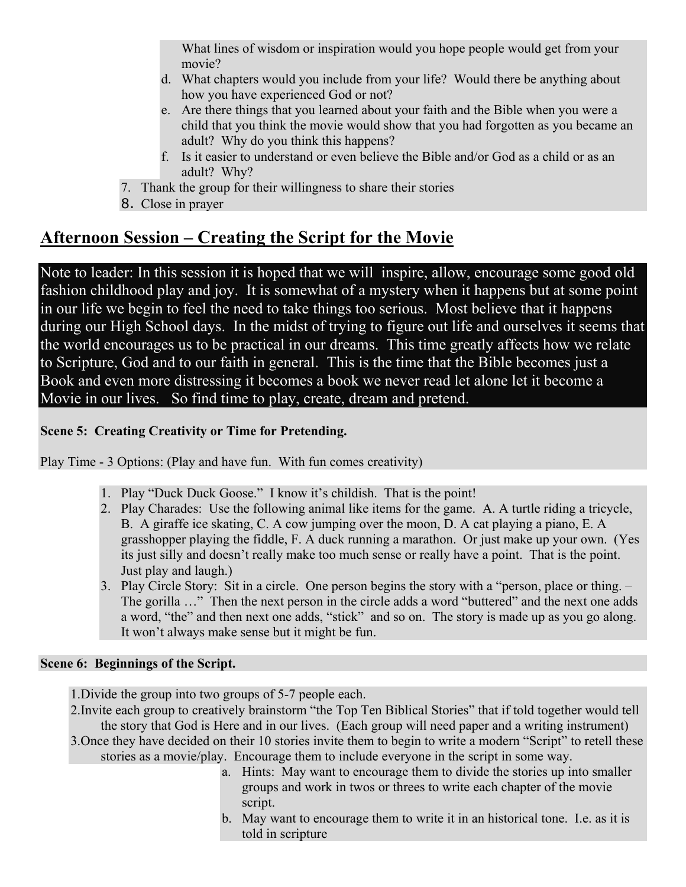What lines of wisdom or inspiration would you hope people would get from your movie?

- d. What chapters would you include from your life? Would there be anything about how you have experienced God or not?
- e. Are there things that you learned about your faith and the Bible when you were a child that you think the movie would show that you had forgotten as you became an adult? Why do you think this happens?
- f. Is it easier to understand or even believe the Bible and/or God as a child or as an adult? Why?
- 7. Thank the group for their willingness to share their stories
- 8. Close in prayer

## **Afternoon Session – Creating the Script for the Movie**

Note to leader: In this session it is hoped that we will inspire, allow, encourage some good old fashion childhood play and joy. It is somewhat of a mystery when it happens but at some point in our life we begin to feel the need to take things too serious. Most believe that it happens during our High School days. In the midst of trying to figure out life and ourselves it seems that the world encourages us to be practical in our dreams. This time greatly affects how we relate to Scripture, God and to our faith in general. This is the time that the Bible becomes just a Book and even more distressing it becomes a book we never read let alone let it become a Movie in our lives. So find time to play, create, dream and pretend.

#### **Scene 5: Creating Creativity or Time for Pretending.**

Play Time - 3 Options: (Play and have fun. With fun comes creativity)

- 1. Play "Duck Duck Goose." I know it's childish. That is the point!
- 2. Play Charades: Use the following animal like items for the game. A. A turtle riding a tricycle, B. A giraffe ice skating, C. A cow jumping over the moon, D. A cat playing a piano, E. A grasshopper playing the fiddle, F. A duck running a marathon. Or just make up your own. (Yes its just silly and doesn't really make too much sense or really have a point. That is the point. Just play and laugh.)
- 3. Play Circle Story: Sit in a circle. One person begins the story with a "person, place or thing. The gorilla …" Then the next person in the circle adds a word "buttered" and the next one adds a word, "the" and then next one adds, "stick" and so on. The story is made up as you go along. It won't always make sense but it might be fun.

#### **Scene 6: Beginnings of the Script.**

1.Divide the group into two groups of 5-7 people each.

2.Invite each group to creatively brainstorm "the Top Ten Biblical Stories" that if told together would tell the story that God is Here and in our lives. (Each group will need paper and a writing instrument) 3.Once they have decided on their 10 stories invite them to begin to write a modern "Script" to retell these stories as a movie/play. Encourage them to include everyone in the script in some way.

- a. Hints: May want to encourage them to divide the stories up into smaller groups and work in twos or threes to write each chapter of the movie script.
- b. May want to encourage them to write it in an historical tone. I.e. as it is told in scripture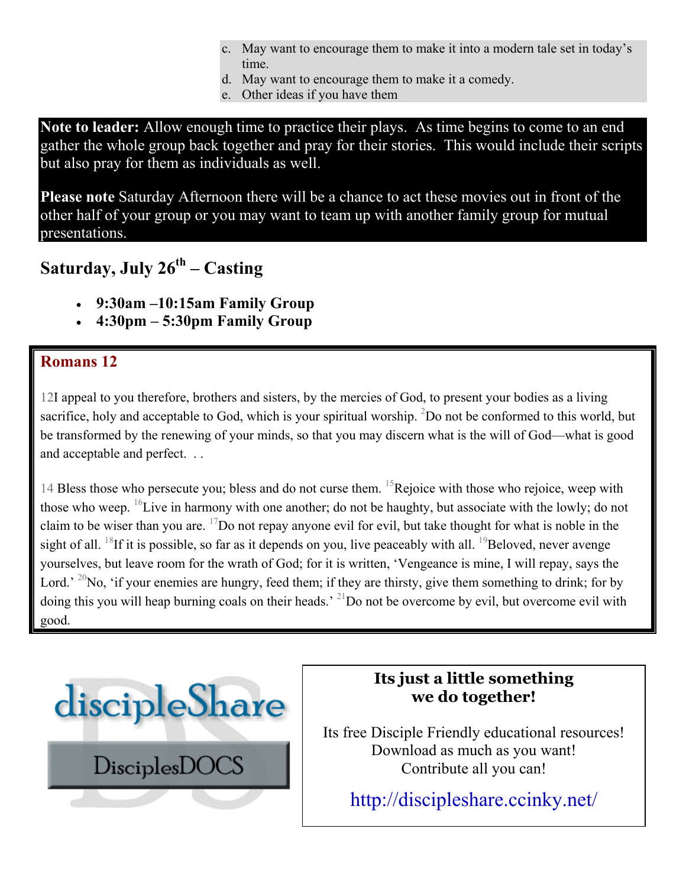- c. May want to encourage them to make it into a modern tale set in today's time.
- d. May want to encourage them to make it a comedy.
- e. Other ideas if you have them

**Note to leader:** Allow enough time to practice their plays. As time begins to come to an end gather the whole group back together and pray for their stories. This would include their scripts but also pray for them as individuals as well.

**Please note** Saturday Afternoon there will be a chance to act these movies out in front of the other half of your group or you may want to team up with another family group for mutual presentations.

**Saturday, July 26th – Casting**

- **9:30am –10:15am Family Group**
- **4:30pm 5:30pm Family Group**

### **Romans 12**

12I appeal to you therefore, brothers and sisters, by the mercies of God, to present your bodies as a living sacrifice, holy and acceptable to God, which is your spiritual worship.  ${}^{2}$ Do not be conformed to this world, but be transformed by the renewing of your minds, so that you may discern what is the will of God—what is good and acceptable and perfect. . .

14 Bless those who persecute you; bless and do not curse them. <sup>15</sup>Rejoice with those who rejoice, weep with those who weep. <sup>16</sup>Live in harmony with one another; do not be haughty, but associate with the lowly; do not claim to be wiser than you are.  $^{17}$ Do not repay anyone evil for evil, but take thought for what is noble in the sight of all. <sup>18</sup>If it is possible, so far as it depends on you, live peaceably with all. <sup>19</sup>Beloved, never avenge yourselves, but leave room for the wrath of God; for it is written, 'Vengeance is mine, I will repay, says the Lord.' <sup>20</sup>No, 'if your enemies are hungry, feed them; if they are thirsty, give them something to drink; for by doing this you will heap burning coals on their heads.<sup>' 21</sup>Do not be overcome by evil, but overcome evil with good.



## **Its just a little something we do together!**

Its free Disciple Friendly educational resources! Download as much as you want! Contribute all you can!

<http://discipleshare.ccinky.net/>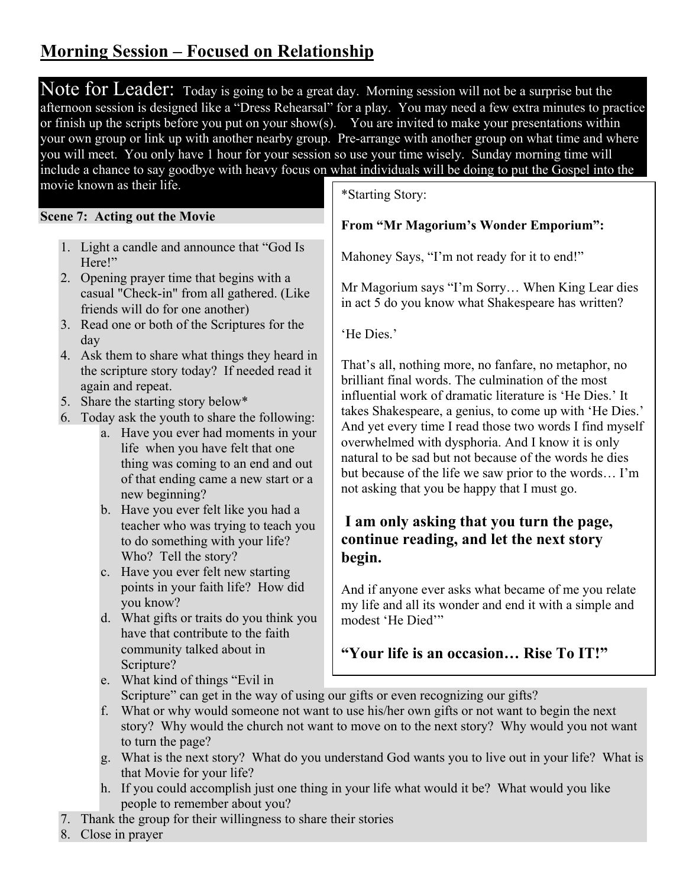## **Morning Session – Focused on Relationship**

Note for Leader: Today is going to be a great day. Morning session will not be a surprise but the afternoon session is designed like a "Dress Rehearsal" for a play. You may need a few extra minutes to practice or finish up the scripts before you put on your show(s). You are invited to make your presentations within your own group or link up with another nearby group. Pre-arrange with another group on what time and where you will meet. You only have 1 hour for your session so use your time wisely. Sunday morning time will include a chance to say goodbye with heavy focus on what individuals will be doing to put the Gospel into the

movie known as their life.

#### **Scene 7: Acting out the Movie**

- 1. Light a candle and announce that "God Is Here!"
- 2. Opening prayer time that begins with a casual "Check-in" from all gathered. (Like friends will do for one another)
- 3. Read one or both of the Scriptures for the day
- 4. Ask them to share what things they heard in the scripture story today? If needed read it again and repeat.
- 5. Share the starting story below\*
- 6. Today ask the youth to share the following:
	- a. Have you ever had moments in your life when you have felt that one thing was coming to an end and out of that ending came a new start or a new beginning?
	- b. Have you ever felt like you had a teacher who was trying to teach you to do something with your life? Who? Tell the story?
	- c. Have you ever felt new starting points in your faith life? How did you know?
	- d. What gifts or traits do you think you have that contribute to the faith community talked about in Scripture?

\*Starting Story:

#### **From "Mr Magorium's Wonder Emporium":**

Mahoney Says, "I'm not ready for it to end!"

Mr Magorium says "I'm Sorry… When King Lear dies in act 5 do you know what Shakespeare has written?

'He Dies.'

That's all, nothing more, no fanfare, no metaphor, no brilliant final words. The culmination of the most influential work of dramatic literature is 'He Dies.' It takes Shakespeare, a genius, to come up with 'He Dies.' And yet every time I read those two words I find myself overwhelmed with dysphoria. And I know it is only natural to be sad but not because of the words he dies but because of the life we saw prior to the words… I'm not asking that you be happy that I must go.

#### **I am only asking that you turn the page, continue reading, and let the next story begin.**

my life and all its wonder and end it with a simple and modest 'He Died'" And if anyone ever asks what became of me you relate

#### **"Your life is an occasion… Rise To IT!"**

e. What kind of things "Evil in

Scripture" can get in the way of using our gifts or even recognizing our gifts?

- f. What or why would someone not want to use his/her own gifts or not want to begin the next story? Why would the church not want to move on to the next story? Why would you not want to turn the page?
- g. What is the next story? What do you understand God wants you to live out in your life? What is that Movie for your life?
- h. If you could accomplish just one thing in your life what would it be? What would you like people to remember about you?
- 7. Thank the group for their willingness to share their stories
- 8. Close in prayer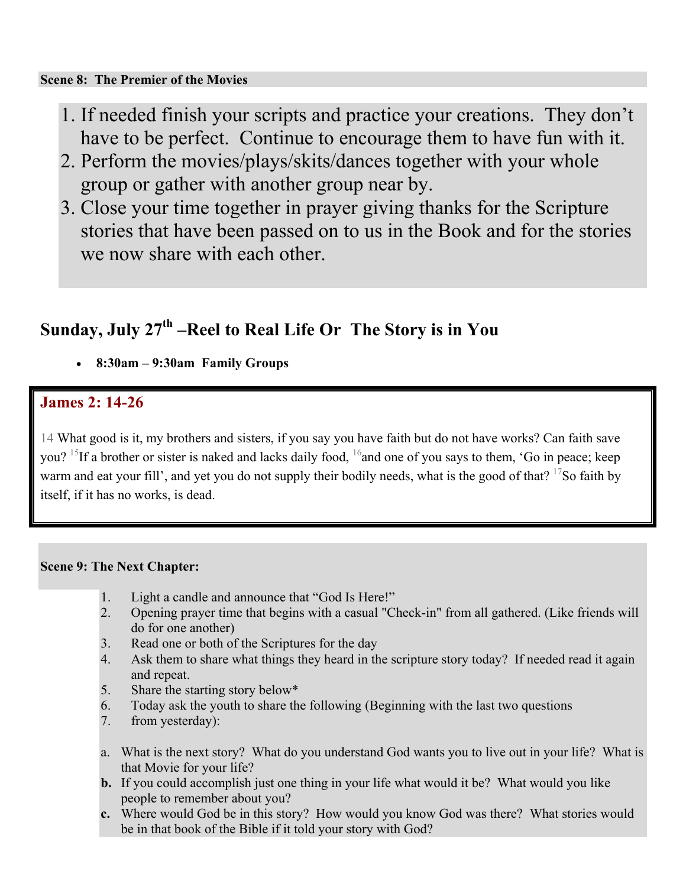#### **Scene 8: The Premier of the Movies**

- 1. If needed finish your scripts and practice your creations. They don't have to be perfect. Continue to encourage them to have fun with it.
- 2. Perform the movies/plays/skits/dances together with your whole group or gather with another group near by.
- 3. Close your time together in prayer giving thanks for the Scripture stories that have been passed on to us in the Book and for the stories we now share with each other.

## Sunday, July 27<sup>th</sup> –Reel to Real Life Or The Story is in You

• **8:30am – 9:30am Family Groups** 

#### **James 2: 14-26**

14 What good is it, my brothers and sisters, if you say you have faith but do not have works? Can faith save you? <sup>15</sup>If a brother or sister is naked and lacks daily food, <sup>16</sup>and one of you says to them, 'Go in peace; keep warm and eat your fill', and yet you do not supply their bodily needs, what is the good of that? <sup>17</sup>So faith by itself, if it has no works, is dead.

#### **Scene 9: The Next Chapter:**

- 1. Light a candle and announce that "God Is Here!"
- 2. Opening prayer time that begins with a casual "Check-in" from all gathered. (Like friends will do for one another)
- 3. Read one or both of the Scriptures for the day
- 4. Ask them to share what things they heard in the scripture story today? If needed read it again and repeat.
- 5. Share the starting story below\*
- 6. Today ask the youth to share the following (Beginning with the last two questions
- 7. from yesterday):
- a. What is the next story? What do you understand God wants you to live out in your life? What is that Movie for your life?
- **b.** If you could accomplish just one thing in your life what would it be? What would you like people to remember about you?
- **c.** Where would God be in this story? How would you know God was there? What stories would be in that book of the Bible if it told your story with God?